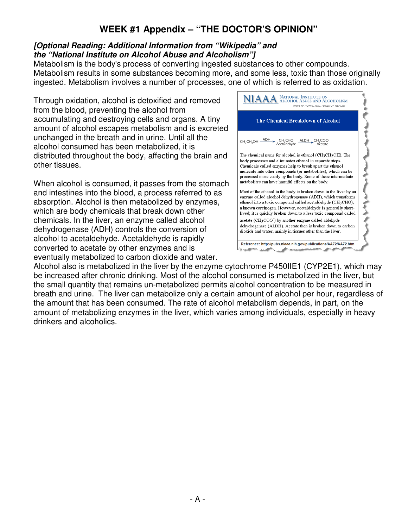## **WEEK #1 Appendix – "THE DOCTOR'S OPINION"**

## **[Optional Reading: Additional Information from "Wikipedia" and the "National Institute on Alcohol Abuse and Alcoholism"]**

Metabolism is the body's process of converting ingested substances to other compounds. Metabolism results in some substances becoming more, and some less, toxic than those originally ingested. Metabolism involves a number of processes, one of which is referred to as oxidation.

Through oxidation, alcohol is detoxified and removed from the blood, preventing the alcohol from accumulating and destroying cells and organs. A tiny amount of alcohol escapes metabolism and is excreted unchanged in the breath and in urine. Until all the alcohol consumed has been metabolized, it is distributed throughout the body, affecting the brain and other tissues.

When alcohol is consumed, it passes from the stomach and intestines into the blood, a process referred to as absorption. Alcohol is then metabolized by enzymes, which are body chemicals that break down other chemicals. In the liver, an enzyme called alcohol dehydrogenase (ADH) controls the conversion of alcohol to acetaldehyde. Acetaldehyde is rapidly converted to acetate by other enzymes and is eventually metabolized to carbon dioxide and water.



Alcohol also is metabolized in the liver by the enzyme cytochrome P450IIE1 (CYP2E1), which may be increased after chronic drinking. Most of the alcohol consumed is metabolized in the liver, but the small quantity that remains un-metabolized permits alcohol concentration to be measured in breath and urine. The liver can metabolize only a certain amount of alcohol per hour, regardless of the amount that has been consumed. The rate of alcohol metabolism depends, in part, on the amount of metabolizing enzymes in the liver, which varies among individuals, especially in heavy drinkers and alcoholics.